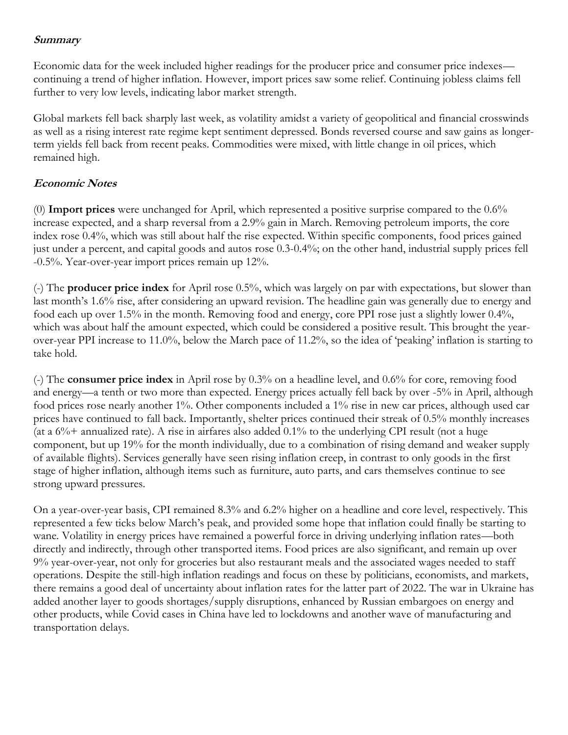## **Summary**

Economic data for the week included higher readings for the producer price and consumer price indexes continuing a trend of higher inflation. However, import prices saw some relief. Continuing jobless claims fell further to very low levels, indicating labor market strength.

Global markets fell back sharply last week, as volatility amidst a variety of geopolitical and financial crosswinds as well as a rising interest rate regime kept sentiment depressed. Bonds reversed course and saw gains as longerterm yields fell back from recent peaks. Commodities were mixed, with little change in oil prices, which remained high.

## **Economic Notes**

(0) **Import prices** were unchanged for April, which represented a positive surprise compared to the 0.6% increase expected, and a sharp reversal from a 2.9% gain in March. Removing petroleum imports, the core index rose 0.4%, which was still about half the rise expected. Within specific components, food prices gained just under a percent, and capital goods and autos rose 0.3-0.4%; on the other hand, industrial supply prices fell -0.5%. Year-over-year import prices remain up 12%.

(-) The **producer price index** for April rose 0.5%, which was largely on par with expectations, but slower than last month's 1.6% rise, after considering an upward revision. The headline gain was generally due to energy and food each up over 1.5% in the month. Removing food and energy, core PPI rose just a slightly lower 0.4%, which was about half the amount expected, which could be considered a positive result. This brought the yearover-year PPI increase to 11.0%, below the March pace of 11.2%, so the idea of 'peaking' inflation is starting to take hold.

(-) The **consumer price index** in April rose by 0.3% on a headline level, and 0.6% for core, removing food and energy—a tenth or two more than expected. Energy prices actually fell back by over -5% in April, although food prices rose nearly another 1%. Other components included a 1% rise in new car prices, although used car prices have continued to fall back. Importantly, shelter prices continued their streak of 0.5% monthly increases (at a  $6\%$ + annualized rate). A rise in airfares also added 0.1% to the underlying CPI result (not a huge component, but up 19% for the month individually, due to a combination of rising demand and weaker supply of available flights). Services generally have seen rising inflation creep, in contrast to only goods in the first stage of higher inflation, although items such as furniture, auto parts, and cars themselves continue to see strong upward pressures.

On a year-over-year basis, CPI remained 8.3% and 6.2% higher on a headline and core level, respectively. This represented a few ticks below March's peak, and provided some hope that inflation could finally be starting to wane. Volatility in energy prices have remained a powerful force in driving underlying inflation rates—both directly and indirectly, through other transported items. Food prices are also significant, and remain up over 9% year-over-year, not only for groceries but also restaurant meals and the associated wages needed to staff operations. Despite the still-high inflation readings and focus on these by politicians, economists, and markets, there remains a good deal of uncertainty about inflation rates for the latter part of 2022. The war in Ukraine has added another layer to goods shortages/supply disruptions, enhanced by Russian embargoes on energy and other products, while Covid cases in China have led to lockdowns and another wave of manufacturing and transportation delays.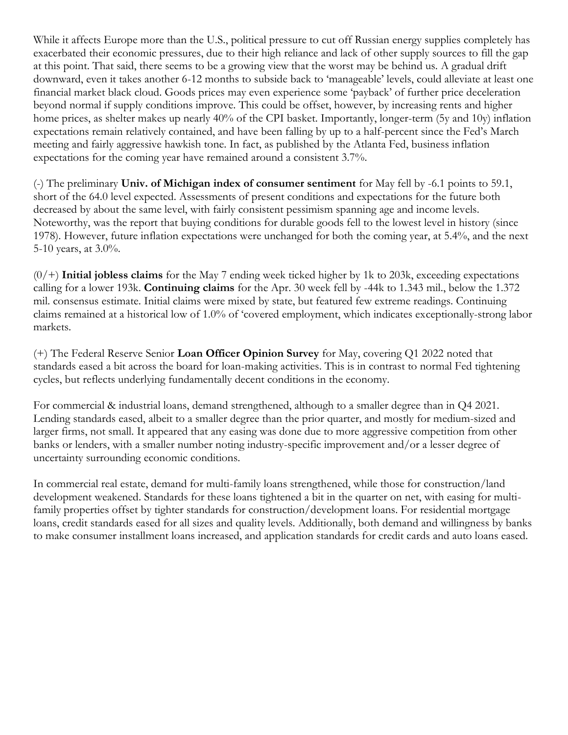While it affects Europe more than the U.S., political pressure to cut off Russian energy supplies completely has exacerbated their economic pressures, due to their high reliance and lack of other supply sources to fill the gap at this point. That said, there seems to be a growing view that the worst may be behind us. A gradual drift downward, even it takes another 6-12 months to subside back to 'manageable' levels, could alleviate at least one financial market black cloud. Goods prices may even experience some 'payback' of further price deceleration beyond normal if supply conditions improve. This could be offset, however, by increasing rents and higher home prices, as shelter makes up nearly 40% of the CPI basket. Importantly, longer-term (5y and 10y) inflation expectations remain relatively contained, and have been falling by up to a half-percent since the Fed's March meeting and fairly aggressive hawkish tone. In fact, as published by the Atlanta Fed, business inflation expectations for the coming year have remained around a consistent 3.7%.

(-) The preliminary **Univ. of Michigan index of consumer sentiment** for May fell by -6.1 points to 59.1, short of the 64.0 level expected. Assessments of present conditions and expectations for the future both decreased by about the same level, with fairly consistent pessimism spanning age and income levels. Noteworthy, was the report that buying conditions for durable goods fell to the lowest level in history (since 1978). However, future inflation expectations were unchanged for both the coming year, at 5.4%, and the next 5-10 years, at  $3.0\%$ .

(0/+) **Initial jobless claims** for the May 7 ending week ticked higher by 1k to 203k, exceeding expectations calling for a lower 193k. **Continuing claims** for the Apr. 30 week fell by -44k to 1.343 mil., below the 1.372 mil. consensus estimate. Initial claims were mixed by state, but featured few extreme readings. Continuing claims remained at a historical low of 1.0% of 'covered employment, which indicates exceptionally-strong labor markets.

(+) The Federal Reserve Senior **Loan Officer Opinion Survey** for May, covering Q1 2022 noted that standards eased a bit across the board for loan-making activities. This is in contrast to normal Fed tightening cycles, but reflects underlying fundamentally decent conditions in the economy.

For commercial & industrial loans, demand strengthened, although to a smaller degree than in Q4 2021. Lending standards eased, albeit to a smaller degree than the prior quarter, and mostly for medium-sized and larger firms, not small. It appeared that any easing was done due to more aggressive competition from other banks or lenders, with a smaller number noting industry-specific improvement and/or a lesser degree of uncertainty surrounding economic conditions.

In commercial real estate, demand for multi-family loans strengthened, while those for construction/land development weakened. Standards for these loans tightened a bit in the quarter on net, with easing for multifamily properties offset by tighter standards for construction/development loans. For residential mortgage loans, credit standards eased for all sizes and quality levels. Additionally, both demand and willingness by banks to make consumer installment loans increased, and application standards for credit cards and auto loans eased.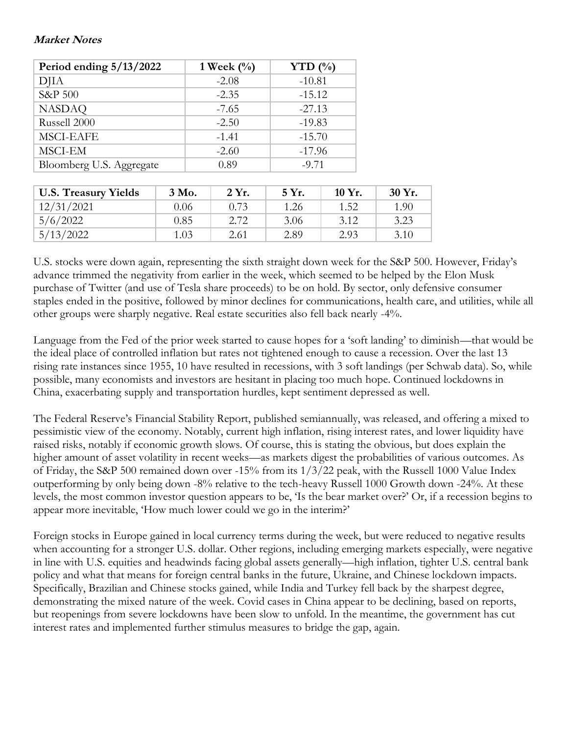## **Market Notes**

| Period ending $5/13/2022$ | 1 Week $(\%)$ | YTD $(\%)$ |  |
|---------------------------|---------------|------------|--|
| <b>DJIA</b>               | $-2.08$       | $-10.81$   |  |
| S&P 500                   | $-2.35$       | $-15.12$   |  |
| <b>NASDAQ</b>             | $-7.65$       | $-27.13$   |  |
| Russell 2000              | $-2.50$       | $-19.83$   |  |
| <b>MSCI-EAFE</b>          | $-1.41$       | $-15.70$   |  |
| MSCI-EM                   | $-2.60$       | $-17.96$   |  |
| Bloomberg U.S. Aggregate  | 0.89          | $-9.71$    |  |

| <b>U.S. Treasury Yields</b> | 3 Mo. | 2 Yr. | 5 Yr. | $10 Yr$ . | 30 Yr. |
|-----------------------------|-------|-------|-------|-----------|--------|
| 12/31/2021                  | 0.06  | 0.73  | 1.26  | 1.52      | 1.90   |
| 5/6/2022                    | 0.85  | 2.72  | 3.06  | 3.12      | 3.23   |
| 5/13/2022                   | 1.03  | 2.61  | 2.89  | 2.93      | 3.10   |

U.S. stocks were down again, representing the sixth straight down week for the S&P 500. However, Friday's advance trimmed the negativity from earlier in the week, which seemed to be helped by the Elon Musk purchase of Twitter (and use of Tesla share proceeds) to be on hold. By sector, only defensive consumer staples ended in the positive, followed by minor declines for communications, health care, and utilities, while all other groups were sharply negative. Real estate securities also fell back nearly -4%.

Language from the Fed of the prior week started to cause hopes for a 'soft landing' to diminish—that would be the ideal place of controlled inflation but rates not tightened enough to cause a recession. Over the last 13 rising rate instances since 1955, 10 have resulted in recessions, with 3 soft landings (per Schwab data). So, while possible, many economists and investors are hesitant in placing too much hope. Continued lockdowns in China, exacerbating supply and transportation hurdles, kept sentiment depressed as well.

The Federal Reserve's Financial Stability Report, published semiannually, was released, and offering a mixed to pessimistic view of the economy. Notably, current high inflation, rising interest rates, and lower liquidity have raised risks, notably if economic growth slows. Of course, this is stating the obvious, but does explain the higher amount of asset volatility in recent weeks—as markets digest the probabilities of various outcomes. As of Friday, the S&P 500 remained down over -15% from its 1/3/22 peak, with the Russell 1000 Value Index outperforming by only being down -8% relative to the tech-heavy Russell 1000 Growth down -24%. At these levels, the most common investor question appears to be, 'Is the bear market over?' Or, if a recession begins to appear more inevitable, 'How much lower could we go in the interim?'

Foreign stocks in Europe gained in local currency terms during the week, but were reduced to negative results when accounting for a stronger U.S. dollar. Other regions, including emerging markets especially, were negative in line with U.S. equities and headwinds facing global assets generally—high inflation, tighter U.S. central bank policy and what that means for foreign central banks in the future, Ukraine, and Chinese lockdown impacts. Specifically, Brazilian and Chinese stocks gained, while India and Turkey fell back by the sharpest degree, demonstrating the mixed nature of the week. Covid cases in China appear to be declining, based on reports, but reopenings from severe lockdowns have been slow to unfold. In the meantime, the government has cut interest rates and implemented further stimulus measures to bridge the gap, again.